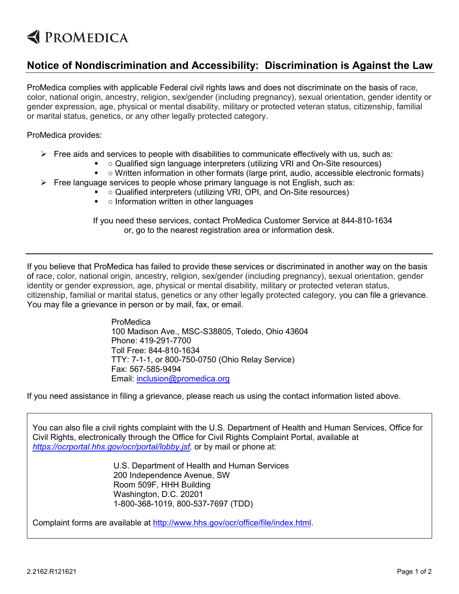## **EXPROMEDICA**

## **Notice of Nondiscrimination and Accessibility: Discrimination is Against the Law**

ProMedica complies with applicable Federal civil rights laws and does not discriminate on the basis of race, color, national origin, ancestry, religion, sex/gender (including pregnancy), sexual orientation, gender identity or gender expression, age, physical or mental disability, military or protected veteran status, citizenship, familial or marital status, genetics, or any other legally protected category.

ProMedica provides:

- $\triangleright$  Free aids and services to people with disabilities to communicate effectively with us, such as:
	- Qualified sign language interpreters (utilizing VRI and On-Site resources)
	- o Written information in other formats (large print, audio, accessible electronic formats)
- $\triangleright$  Free language services to people whose primary language is not English, such as:
	- Qualified interpreters (utilizing VRI, OPI, and On-Site resources)
	- $\blacksquare$  o Information written in other languages

If you need these services, contact ProMedica Customer Service at 844-810-1634 or, go to the nearest registration area or information desk.

If you believe that ProMedica has failed to provide these services or discriminated in another way on the basis of race, color, national origin, ancestry, religion, sex/gender (including pregnancy), sexual orientation, gender identity or gender expression, age, physical or mental disability, military or protected veteran status, citizenship, familial or marital status, genetics or any other legally protected category, you can file a grievance. You may file a grievance in person or by mail, fax, or email.

> ProMedica 100 Madison Ave., MSC-S38805, Toledo, Ohio 43604 Phone: 419-291-7700 Toll Free: 844-810-1634 TTY: 7-1-1, or 800-750-0750 (Ohio Relay Service) Fax: 567-585-9494 Email: [inclusion@promedica.org](mailto:inclusion@promedica.org)

If you need assistance in filing a grievance, please reach us using the contact information listed above.

You can also file a civil rights complaint with the U.S. Department of Health and Human Services, Office for Civil Rights, electronically through the Office for Civil Rights Complaint Portal, available at *[https://ocrportal.hhs.gov/ocr/portal/lobby.jsf,](https://ocrportal.hhs.gov/ocr/portal/lobby.jsf)* or by mail or phone at:

> U.S. Department of Health and Human Services 200 Independence Avenue, SW Room 509F, HHH Building Washington, D.C. 20201 1-800-368-1019, 800-537-7697 (TDD)

Complaint forms are available at [http://www.hhs.gov/ocr/office/file/index.html.](http://www.hhs.gov/ocr/office/file/index.html)